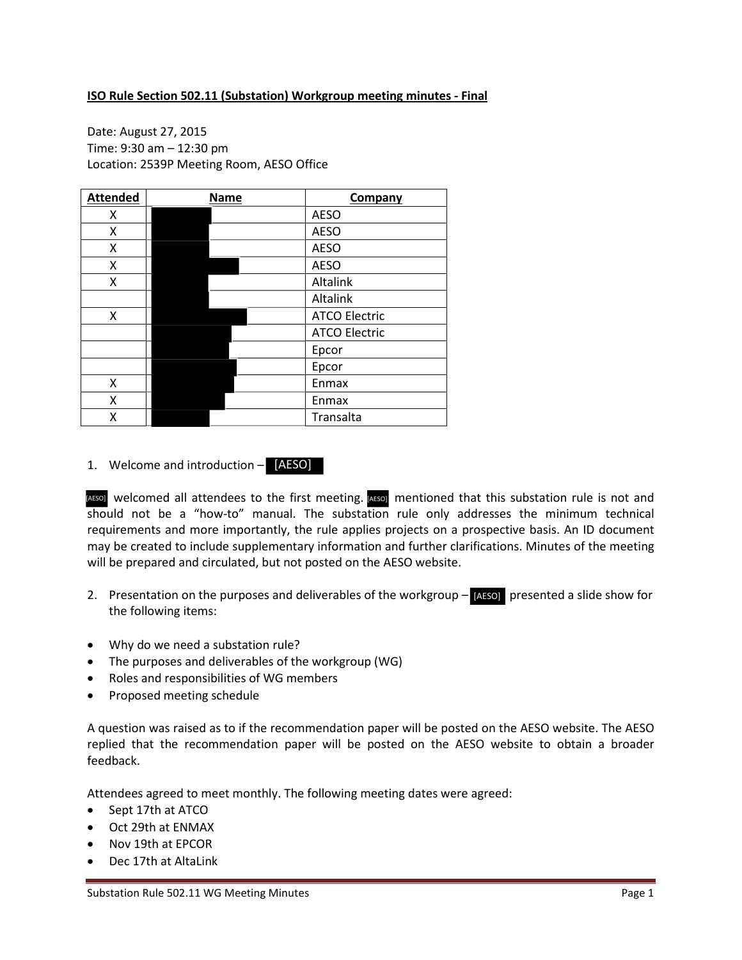## **ISO Rule Section 502.11 (Substation) Workgroup meeting minutes - Final**

Date: August 27, 2015 Time: 9:30 am – 12:30 pm Location: 2539P Meeting Room, AESO Office

| <b>Attended</b> | <b>Name</b> | Company              |
|-----------------|-------------|----------------------|
| х               |             | <b>AESO</b>          |
| Χ               |             | <b>AESO</b>          |
| Χ               |             | <b>AESO</b>          |
| X               |             | <b>AESO</b>          |
| Χ               |             | Altalink             |
|                 |             | Altalink             |
| X               |             | <b>ATCO Electric</b> |
|                 |             | <b>ATCO Electric</b> |
|                 |             | Epcor                |
|                 |             | Epcor                |
| Χ               |             | Enmax                |
| Χ               |             | Enmax                |
| x               |             | Transalta            |

1. Welcome and introduction – [AESO]

AESO] welcomed all attendees to the first meeting. AESO] mentioned that this substation rule is not and should not be a "how-to" manual. The substation rule only addresses the minimum technical requirements and more importantly, the rule applies projects on a prospective basis. An ID document may be created to include supplementary information and further clarifications. Minutes of the meeting will be prepared and circulated, but not posted on the AESO website.

- 2. Presentation on the purposes and deliverables of the workgroup  $-$  [AESO] presented a slide show for the following items:
- Why do we need a substation rule?
- The purposes and deliverables of the workgroup (WG)
- Roles and responsibilities of WG members
- Proposed meeting schedule

A question was raised as to if the recommendation paper will be posted on the AESO website. The AESO replied that the recommendation paper will be posted on the AESO website to obtain a broader feedback.

Attendees agreed to meet monthly. The following meeting dates were agreed:

- Sept 17th at ATCO
- Oct 29th at ENMAX
- Nov 19th at EPCOR
- Dec 17th at AltaLink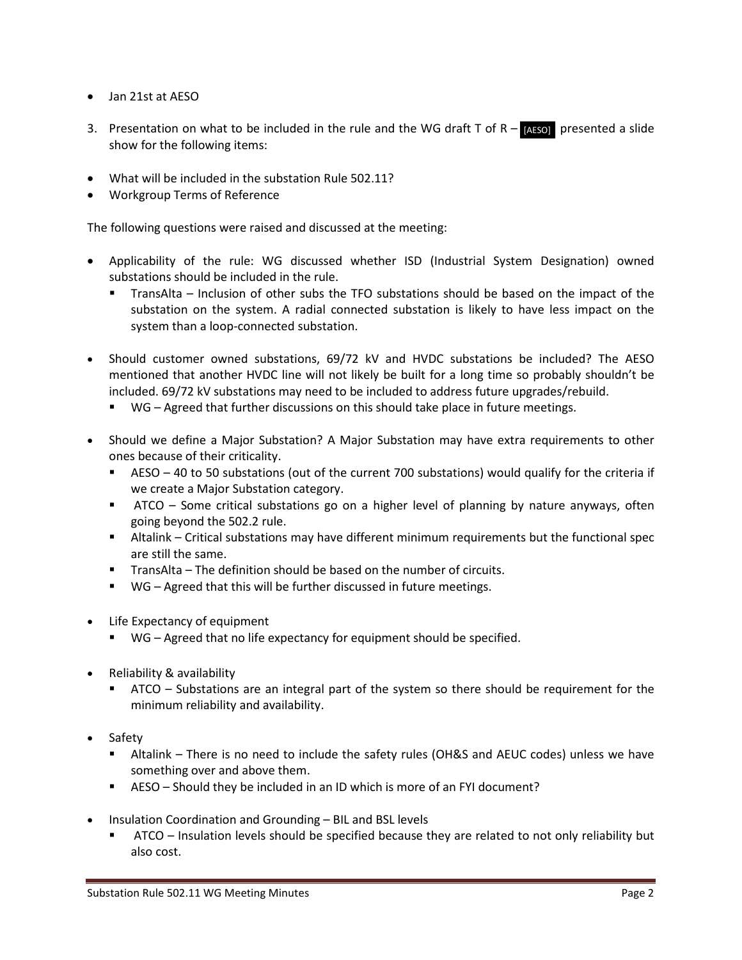- Jan 21st at AESO
- 3. Presentation on what to be included in the rule and the WG draft  $T$  of  $R -$  [AESO] presented a slide show for the following items:
- What will be included in the substation Rule 502.11?
- Workgroup Terms of Reference

The following questions were raised and discussed at the meeting:

- Applicability of the rule: WG discussed whether ISD (Industrial System Designation) owned substations should be included in the rule.
	- TransAlta Inclusion of other subs the TFO substations should be based on the impact of the substation on the system. A radial connected substation is likely to have less impact on the system than a loop-connected substation.
- Should customer owned substations, 69/72 kV and HVDC substations be included? The AESO mentioned that another HVDC line will not likely be built for a long time so probably shouldn't be included. 69/72 kV substations may need to be included to address future upgrades/rebuild.
	- WG Agreed that further discussions on this should take place in future meetings.
- Should we define a Major Substation? A Major Substation may have extra requirements to other ones because of their criticality.
	- AESO 40 to 50 substations (out of the current 700 substations) would qualify for the criteria if we create a Major Substation category.
	- ATCO Some critical substations go on a higher level of planning by nature anyways, often going beyond the 502.2 rule.
	- Altalink Critical substations may have different minimum requirements but the functional spec are still the same.
	- **TransAlta The definition should be based on the number of circuits.**
	- WG Agreed that this will be further discussed in future meetings.
- Life Expectancy of equipment
	- WG Agreed that no life expectancy for equipment should be specified.
- Reliability & availability
	- ATCO Substations are an integral part of the system so there should be requirement for the minimum reliability and availability.
- Safety
	- Altalink There is no need to include the safety rules (OH&S and AEUC codes) unless we have something over and above them.
	- AESO Should they be included in an ID which is more of an FYI document?
- Insulation Coordination and Grounding BIL and BSL levels
	- ATCO Insulation levels should be specified because they are related to not only reliability but also cost.